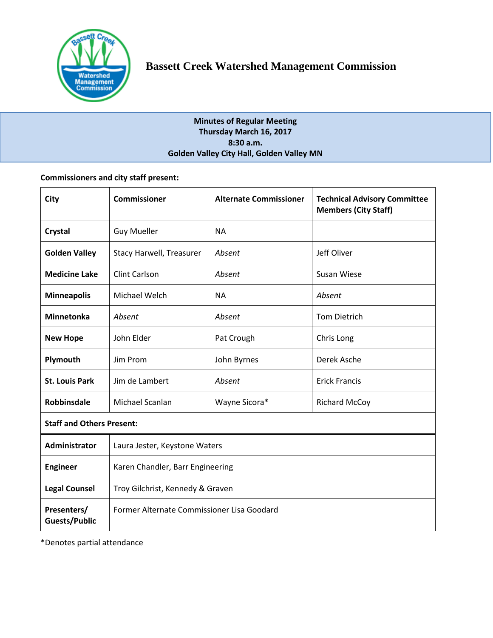

# **Minutes of Regular Meeting Thursday March 16, 2017 8:30 a.m. Golden Valley City Hall, Golden Valley MN**

# **Commissioners and city staff present:**

| City                             | <b>Commissioner</b>                        | <b>Alternate Commissioner</b> | <b>Technical Advisory Committee</b><br><b>Members (City Staff)</b> |  |
|----------------------------------|--------------------------------------------|-------------------------------|--------------------------------------------------------------------|--|
| Crystal                          | <b>Guy Mueller</b>                         | <b>NA</b>                     |                                                                    |  |
| <b>Golden Valley</b>             | Stacy Harwell, Treasurer                   | Absent                        | Jeff Oliver                                                        |  |
| <b>Medicine Lake</b>             | <b>Clint Carlson</b>                       | Absent                        | <b>Susan Wiese</b>                                                 |  |
| <b>Minneapolis</b>               | Michael Welch                              | <b>NA</b>                     | Absent                                                             |  |
| <b>Minnetonka</b>                | Absent                                     | Absent                        | <b>Tom Dietrich</b>                                                |  |
| <b>New Hope</b>                  | John Elder                                 | Pat Crough                    | Chris Long                                                         |  |
| Plymouth                         | Jim Prom                                   | John Byrnes                   | Derek Asche                                                        |  |
| <b>St. Louis Park</b>            | Jim de Lambert                             | Absent                        | <b>Erick Francis</b>                                               |  |
| <b>Robbinsdale</b>               | Michael Scanlan                            | Wayne Sicora*                 | <b>Richard McCoy</b>                                               |  |
| <b>Staff and Others Present:</b> |                                            |                               |                                                                    |  |
| <b>Administrator</b>             | Laura Jester, Keystone Waters              |                               |                                                                    |  |
| <b>Engineer</b>                  | Karen Chandler, Barr Engineering           |                               |                                                                    |  |
| <b>Legal Counsel</b>             | Troy Gilchrist, Kennedy & Graven           |                               |                                                                    |  |
| Presenters/<br>Guests/Public     | Former Alternate Commissioner Lisa Goodard |                               |                                                                    |  |

\*Denotes partial attendance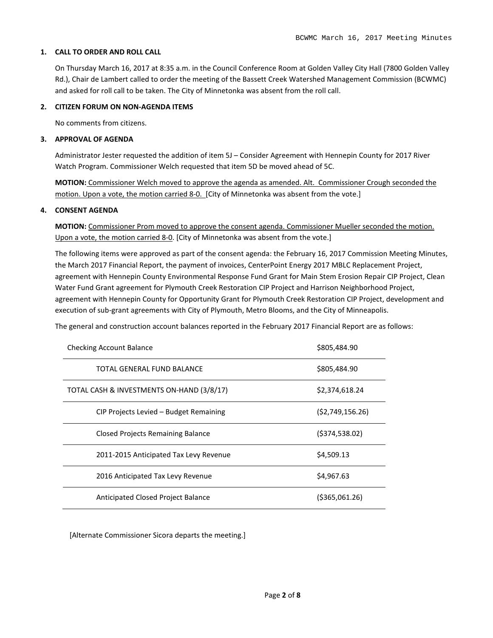## **1. CALL TO ORDER AND ROLL CALL**

On Thursday March 16, 2017 at 8:35 a.m. in the Council Conference Room at Golden Valley City Hall (7800 Golden Valley Rd.), Chair de Lambert called to order the meeting of the Bassett Creek Watershed Management Commission (BCWMC) and asked for roll call to be taken. The City of Minnetonka was absent from the roll call.

# **2. CITIZEN FORUM ON NON-AGENDA ITEMS**

No comments from citizens.

# **3. APPROVAL OF AGENDA**

Administrator Jester requested the addition of item 5J – Consider Agreement with Hennepin County for 2017 River Watch Program. Commissioner Welch requested that item 5D be moved ahead of 5C.

**MOTION:** Commissioner Welch moved to approve the agenda as amended. Alt. Commissioner Crough seconded the motion. Upon a vote, the motion carried 8-0. [City of Minnetonka was absent from the vote.]

# **4. CONSENT AGENDA**

**MOTION:** Commissioner Prom moved to approve the consent agenda. Commissioner Mueller seconded the motion. Upon a vote, the motion carried 8-0. [City of Minnetonka was absent from the vote.]

The following items were approved as part of the consent agenda: the February 16, 2017 Commission Meeting Minutes, the March 2017 Financial Report, the payment of invoices, CenterPoint Energy 2017 MBLC Replacement Project, agreement with Hennepin County Environmental Response Fund Grant for Main Stem Erosion Repair CIP Project, Clean Water Fund Grant agreement for Plymouth Creek Restoration CIP Project and Harrison Neighborhood Project, agreement with Hennepin County for Opportunity Grant for Plymouth Creek Restoration CIP Project, development and execution of sub-grant agreements with City of Plymouth, Metro Blooms, and the City of Minneapolis.

The general and construction account balances reported in the February 2017 Financial Report are as follows:

| <b>Checking Account Balance</b>           | \$805,484.90    |
|-------------------------------------------|-----------------|
| TOTAL GENERAL FUND BALANCE                | \$805,484.90    |
| TOTAL CASH & INVESTMENTS ON-HAND (3/8/17) | \$2,374,618.24  |
| CIP Projects Levied - Budget Remaining    | (52,749,156.26) |
| Closed Projects Remaining Balance         | (5374, 538.02)  |
| 2011-2015 Anticipated Tax Levy Revenue    | \$4,509.13      |
| 2016 Anticipated Tax Levy Revenue         | \$4,967.63      |
| <b>Anticipated Closed Project Balance</b> | ( \$365,061.26) |

[Alternate Commissioner Sicora departs the meeting.]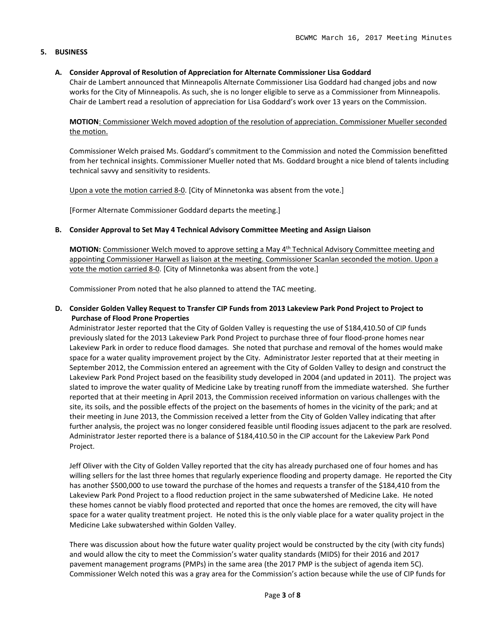## **5. BUSINESS**

## **A. Consider Approval of Resolution of Appreciation for Alternate Commissioner Lisa Goddard**

Chair de Lambert announced that Minneapolis Alternate Commissioner Lisa Goddard had changed jobs and now works for the City of Minneapolis. As such, she is no longer eligible to serve as a Commissioner from Minneapolis. Chair de Lambert read a resolution of appreciation for Lisa Goddard's work over 13 years on the Commission.

**MOTION**: Commissioner Welch moved adoption of the resolution of appreciation. Commissioner Mueller seconded the motion.

Commissioner Welch praised Ms. Goddard's commitment to the Commission and noted the Commission benefitted from her technical insights. Commissioner Mueller noted that Ms. Goddard brought a nice blend of talents including technical savvy and sensitivity to residents.

Upon a vote the motion carried 8-0. [City of Minnetonka was absent from the vote.]

[Former Alternate Commissioner Goddard departs the meeting.]

## **B. Consider Approval to Set May 4 Technical Advisory Committee Meeting and Assign Liaison**

**MOTION:** Commissioner Welch moved to approve setting a May 4<sup>th</sup> Technical Advisory Committee meeting and appointing Commissioner Harwell as liaison at the meeting. Commissioner Scanlan seconded the motion. Upon a vote the motion carried 8-0. [City of Minnetonka was absent from the vote.]

Commissioner Prom noted that he also planned to attend the TAC meeting.

# **D. Consider Golden Valley Request to Transfer CIP Funds from 2013 Lakeview Park Pond Project to Project to Purchase of Flood Prone Properties**

Administrator Jester reported that the City of Golden Valley is requesting the use of \$184,410.50 of CIP funds previously slated for the 2013 Lakeview Park Pond Project to purchase three of four flood-prone homes near Lakeview Park in order to reduce flood damages. She noted that purchase and removal of the homes would make space for a water quality improvement project by the City. Administrator Jester reported that at their meeting in September 2012, the Commission entered an agreement with the City of Golden Valley to design and construct the Lakeview Park Pond Project based on the feasibility study developed in 2004 (and updated in 2011). The project was slated to improve the water quality of Medicine Lake by treating runoff from the immediate watershed. She further reported that at their meeting in April 2013, the Commission received information on various challenges with the site, its soils, and the possible effects of the project on the basements of homes in the vicinity of the park; and at their meeting in June 2013, the Commission received a letter from the City of Golden Valley indicating that after further analysis, the project was no longer considered feasible until flooding issues adjacent to the park are resolved. Administrator Jester reported there is a balance of \$184,410.50 in the CIP account for the Lakeview Park Pond Project.

Jeff Oliver with the City of Golden Valley reported that the city has already purchased one of four homes and has willing sellers for the last three homes that regularly experience flooding and property damage. He reported the City has another \$500,000 to use toward the purchase of the homes and requests a transfer of the \$184,410 from the Lakeview Park Pond Project to a flood reduction project in the same subwatershed of Medicine Lake. He noted these homes cannot be viably flood protected and reported that once the homes are removed, the city will have space for a water quality treatment project. He noted this is the only viable place for a water quality project in the Medicine Lake subwatershed within Golden Valley.

There was discussion about how the future water quality project would be constructed by the city (with city funds) and would allow the city to meet the Commission's water quality standards (MIDS) for their 2016 and 2017 pavement management programs (PMPs) in the same area (the 2017 PMP is the subject of agenda item 5C). Commissioner Welch noted this was a gray area for the Commission's action because while the use of CIP funds for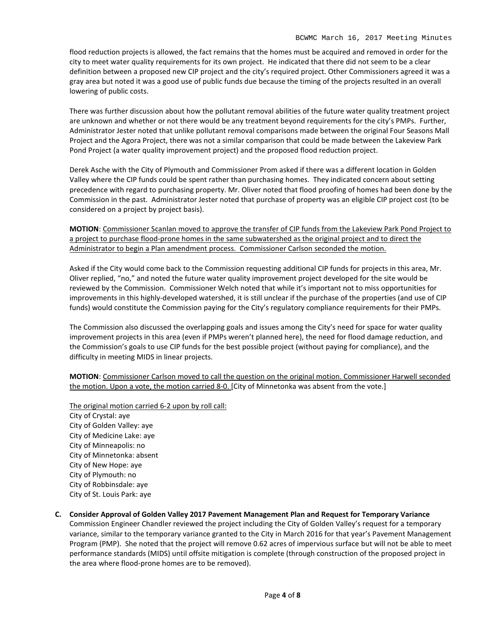flood reduction projects is allowed, the fact remains that the homes must be acquired and removed in order for the city to meet water quality requirements for its own project. He indicated that there did not seem to be a clear definition between a proposed new CIP project and the city's required project. Other Commissioners agreed it was a gray area but noted it was a good use of public funds due because the timing of the projects resulted in an overall lowering of public costs.

There was further discussion about how the pollutant removal abilities of the future water quality treatment project are unknown and whether or not there would be any treatment beyond requirements for the city's PMPs. Further, Administrator Jester noted that unlike pollutant removal comparisons made between the original Four Seasons Mall Project and the Agora Project, there was not a similar comparison that could be made between the Lakeview Park Pond Project (a water quality improvement project) and the proposed flood reduction project.

Derek Asche with the City of Plymouth and Commissioner Prom asked if there was a different location in Golden Valley where the CIP funds could be spent rather than purchasing homes. They indicated concern about setting precedence with regard to purchasing property. Mr. Oliver noted that flood proofing of homes had been done by the Commission in the past. Administrator Jester noted that purchase of property was an eligible CIP project cost (to be considered on a project by project basis).

**MOTION**: Commissioner Scanlan moved to approve the transfer of CIP funds from the Lakeview Park Pond Project to a project to purchase flood-prone homes in the same subwatershed as the original project and to direct the Administrator to begin a Plan amendment process. Commissioner Carlson seconded the motion.

Asked if the City would come back to the Commission requesting additional CIP funds for projects in this area, Mr. Oliver replied, "no," and noted the future water quality improvement project developed for the site would be reviewed by the Commission. Commissioner Welch noted that while it's important not to miss opportunities for improvements in this highly-developed watershed, it is still unclear if the purchase of the properties (and use of CIP funds) would constitute the Commission paying for the City's regulatory compliance requirements for their PMPs.

The Commission also discussed the overlapping goals and issues among the City's need for space for water quality improvement projects in this area (even if PMPs weren't planned here), the need for flood damage reduction, and the Commission's goals to use CIP funds for the best possible project (without paying for compliance), and the difficulty in meeting MIDS in linear projects.

**MOTION**: Commissioner Carlson moved to call the question on the original motion. Commissioner Harwell seconded the motion. Upon a vote, the motion carried 8-0. [City of Minnetonka was absent from the vote.]

The original motion carried 6-2 upon by roll call: City of Crystal: aye City of Golden Valley: aye City of Medicine Lake: aye City of Minneapolis: no City of Minnetonka: absent City of New Hope: aye City of Plymouth: no City of Robbinsdale: aye City of St. Louis Park: aye

**C. Consider Approval of Golden Valley 2017 Pavement Management Plan and Request for Temporary Variance** Commission Engineer Chandler reviewed the project including the City of Golden Valley's request for a temporary variance, similar to the temporary variance granted to the City in March 2016 for that year's Pavement Management Program (PMP). She noted that the project will remove 0.62 acres of impervious surface but will not be able to meet performance standards (MIDS) until offsite mitigation is complete (through construction of the proposed project in the area where flood-prone homes are to be removed).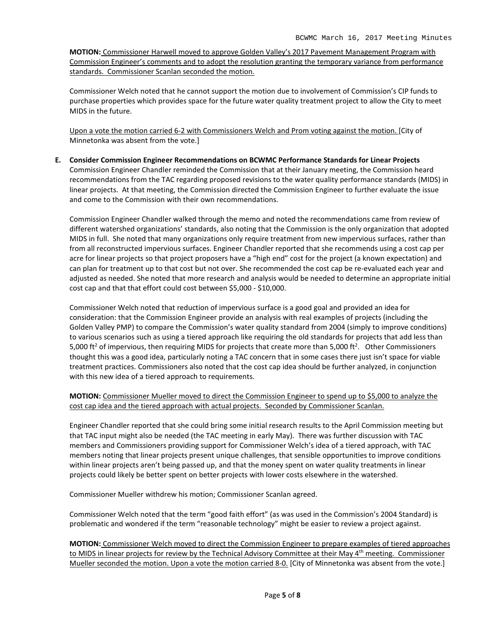**MOTION:** Commissioner Harwell moved to approve Golden Valley's 2017 Pavement Management Program with Commission Engineer's comments and to adopt the resolution granting the temporary variance from performance standards. Commissioner Scanlan seconded the motion.

Commissioner Welch noted that he cannot support the motion due to involvement of Commission's CIP funds to purchase properties which provides space for the future water quality treatment project to allow the City to meet MIDS in the future.

Upon a vote the motion carried 6-2 with Commissioners Welch and Prom voting against the motion. [City of Minnetonka was absent from the vote.]

**E. Consider Commission Engineer Recommendations on BCWMC Performance Standards for Linear Projects** Commission Engineer Chandler reminded the Commission that at their January meeting, the Commission heard recommendations from the TAC regarding proposed revisions to the water quality performance standards (MIDS) in linear projects. At that meeting, the Commission directed the Commission Engineer to further evaluate the issue and come to the Commission with their own recommendations.

Commission Engineer Chandler walked through the memo and noted the recommendations came from review of different watershed organizations' standards, also noting that the Commission is the only organization that adopted MIDS in full. She noted that many organizations only require treatment from new impervious surfaces, rather than from all reconstructed impervious surfaces. Engineer Chandler reported that she recommends using a cost cap per acre for linear projects so that project proposers have a "high end" cost for the project (a known expectation) and can plan for treatment up to that cost but not over. She recommended the cost cap be re-evaluated each year and adjusted as needed. She noted that more research and analysis would be needed to determine an appropriate initial cost cap and that that effort could cost between \$5,000 - \$10,000.

Commissioner Welch noted that reduction of impervious surface is a good goal and provided an idea for consideration: that the Commission Engineer provide an analysis with real examples of projects (including the Golden Valley PMP) to compare the Commission's water quality standard from 2004 (simply to improve conditions) to various scenarios such as using a tiered approach like requiring the old standards for projects that add less than 5,000 ft<sup>2</sup> of impervious, then requiring MIDS for projects that create more than 5,000 ft<sup>2</sup>. Other Commissioners thought this was a good idea, particularly noting a TAC concern that in some cases there just isn't space for viable treatment practices. Commissioners also noted that the cost cap idea should be further analyzed, in conjunction with this new idea of a tiered approach to requirements.

# **MOTION:** Commissioner Mueller moved to direct the Commission Engineer to spend up to \$5,000 to analyze the cost cap idea and the tiered approach with actual projects. Seconded by Commissioner Scanlan.

Engineer Chandler reported that she could bring some initial research results to the April Commission meeting but that TAC input might also be needed (the TAC meeting in early May). There was further discussion with TAC members and Commissioners providing support for Commissioner Welch's idea of a tiered approach, with TAC members noting that linear projects present unique challenges, that sensible opportunities to improve conditions within linear projects aren't being passed up, and that the money spent on water quality treatments in linear projects could likely be better spent on better projects with lower costs elsewhere in the watershed.

Commissioner Mueller withdrew his motion; Commissioner Scanlan agreed.

Commissioner Welch noted that the term "good faith effort" (as was used in the Commission's 2004 Standard) is problematic and wondered if the term "reasonable technology" might be easier to review a project against.

**MOTION:** Commissioner Welch moved to direct the Commission Engineer to prepare examples of tiered approaches to MIDS in linear projects for review by the Technical Advisory Committee at their May 4<sup>th</sup> meeting. Commissioner Mueller seconded the motion. Upon a vote the motion carried 8-0. [City of Minnetonka was absent from the vote.]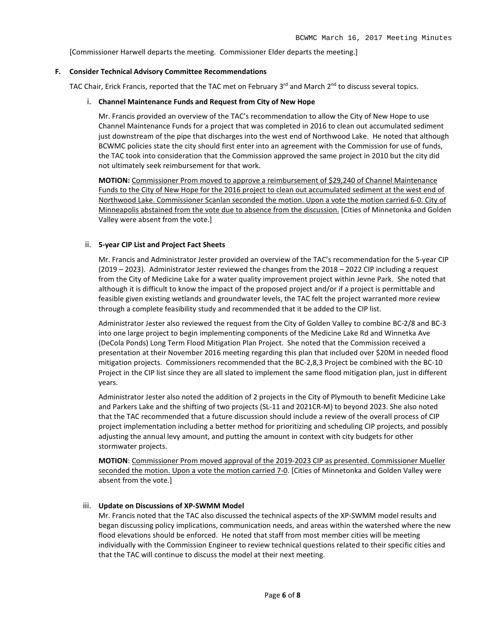[Commissioner Harwell departs the meeting. Commissioner Elder departs the meeting.]

#### **F. Consider Technical Advisory Committee Recommendations**

TAC Chair, Erick Francis, reported that the TAC met on February  $3^{rd}$  and March  $2^{nd}$  to discuss several topics.

#### i. **Channel Maintenance Funds and Request from City of New Hope**

Mr. Francis provided an overview of the TAC's recommendation to allow the City of New Hope to use Channel Maintenance Funds for a project that was completed in 2016 to clean out accumulated sediment just downstream of the pipe that discharges into the west end of Northwood Lake. He noted that although BCWMC policies state the city should first enter into an agreement with the Commission for use of funds, the TAC took into consideration that the Commission approved the same project in 2010 but the city did not ultimately seek reimbursement for that work.

**MOTION:** Commissioner Prom moved to approve a reimbursement of \$29,240 of Channel Maintenance Funds to the City of New Hope for the 2016 project to clean out accumulated sediment at the west end of Northwood Lake. Commissioner Scanlan seconded the motion. Upon a vote the motion carried 6-0. City of Minneapolis abstained from the vote due to absence from the discussion. [Cities of Minnetonka and Golden Valley were absent from the vote.]

#### ii. **5-year CIP List and Project Fact Sheets**

Mr. Francis and Administrator Jester provided an overview of the TAC's recommendation for the 5-year CIP (2019 – 2023). Administrator Jester reviewed the changes from the 2018 – 2022 CIP including a request from the City of Medicine Lake for a water quality improvement project within Jevne Park. She noted that although it is difficult to know the impact of the proposed project and/or if a project is permittable and feasible given existing wetlands and groundwater levels, the TAC felt the project warranted more review through a complete feasibility study and recommended that it be added to the CIP list.

Administrator Jester also reviewed the request from the City of Golden Valley to combine BC-2/8 and BC-3 into one large project to begin implementing components of the Medicine Lake Rd and Winnetka Ave (DeCola Ponds) Long Term Flood Mitigation Plan Project. She noted that the Commission received a presentation at their November 2016 meeting regarding this plan that included over \$20M in needed flood mitigation projects. Commissioners recommended that the BC-2,8,3 Project be combined with the BC-10 Project in the CIP list since they are all slated to implement the same flood mitigation plan, just in different years.

Administrator Jester also noted the addition of 2 projects in the City of Plymouth to benefit Medicine Lake and Parkers Lake and the shifting of two projects (SL-11 and 2021CR-M) to beyond 2023. She also noted that the TAC recommended that a future discussion should include a review of the overall process of CIP project implementation including a better method for prioritizing and scheduling CIP projects, and possibly adjusting the annual levy amount, and putting the amount in context with city budgets for other stormwater projects.

**MOTION**: Commissioner Prom moved approval of the 2019-2023 CIP as presented. Commissioner Mueller seconded the motion. Upon a vote the motion carried 7-0. [Cities of Minnetonka and Golden Valley were absent from the vote.]

## iii. **Update on Discussions of XP-SWMM Model**

Mr. Francis noted that the TAC also discussed the technical aspects of the XP-SWMM model results and began discussing policy implications, communication needs, and areas within the watershed where the new flood elevations should be enforced. He noted that staff from most member cities will be meeting individually with the Commission Engineer to review technical questions related to their specific cities and that the TAC will continue to discuss the model at their next meeting.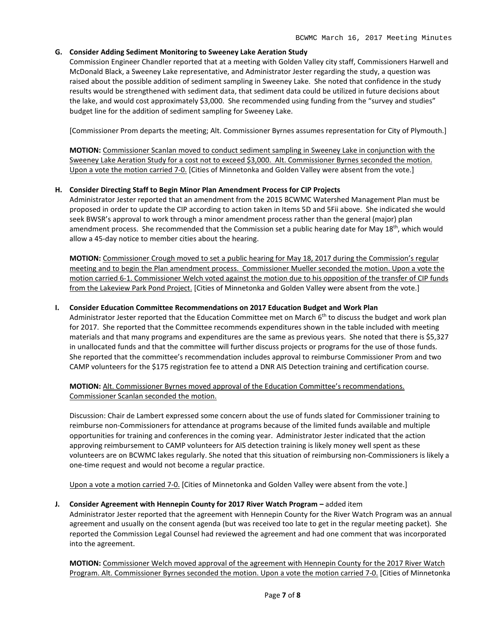# **G. Consider Adding Sediment Monitoring to Sweeney Lake Aeration Study**

Commission Engineer Chandler reported that at a meeting with Golden Valley city staff, Commissioners Harwell and McDonald Black, a Sweeney Lake representative, and Administrator Jester regarding the study, a question was raised about the possible addition of sediment sampling in Sweeney Lake. She noted that confidence in the study results would be strengthened with sediment data, that sediment data could be utilized in future decisions about the lake, and would cost approximately \$3,000. She recommended using funding from the "survey and studies" budget line for the addition of sediment sampling for Sweeney Lake.

[Commissioner Prom departs the meeting; Alt. Commissioner Byrnes assumes representation for City of Plymouth.]

**MOTION:** Commissioner Scanlan moved to conduct sediment sampling in Sweeney Lake in conjunction with the Sweeney Lake Aeration Study for a cost not to exceed \$3,000. Alt. Commissioner Byrnes seconded the motion. Upon a vote the motion carried 7-0. [Cities of Minnetonka and Golden Valley were absent from the vote.]

# **H. Consider Directing Staff to Begin Minor Plan Amendment Process for CIP Projects**

Administrator Jester reported that an amendment from the 2015 BCWMC Watershed Management Plan must be proposed in order to update the CIP according to action taken in Items 5D and 5Fii above. She indicated she would seek BWSR's approval to work through a minor amendment process rather than the general (major) plan amendment process. She recommended that the Commission set a public hearing date for May 18<sup>th</sup>, which would allow a 45-day notice to member cities about the hearing.

**MOTION:** Commissioner Crough moved to set a public hearing for May 18, 2017 during the Commission's regular meeting and to begin the Plan amendment process. Commissioner Mueller seconded the motion. Upon a vote the motion carried 6-1. Commissioner Welch voted against the motion due to his opposition of the transfer of CIP funds from the Lakeview Park Pond Project. [Cities of Minnetonka and Golden Valley were absent from the vote.]

## **I. Consider Education Committee Recommendations on 2017 Education Budget and Work Plan**

Administrator Jester reported that the Education Committee met on March 6<sup>th</sup> to discuss the budget and work plan for 2017. She reported that the Committee recommends expenditures shown in the table included with meeting materials and that many programs and expenditures are the same as previous years. She noted that there is \$5,327 in unallocated funds and that the committee will further discuss projects or programs for the use of those funds. She reported that the committee's recommendation includes approval to reimburse Commissioner Prom and two CAMP volunteers for the \$175 registration fee to attend a DNR AIS Detection training and certification course.

**MOTION:** Alt. Commissioner Byrnes moved approval of the Education Committee's recommendations. Commissioner Scanlan seconded the motion.

Discussion: Chair de Lambert expressed some concern about the use of funds slated for Commissioner training to reimburse non-Commissioners for attendance at programs because of the limited funds available and multiple opportunities for training and conferences in the coming year. Administrator Jester indicated that the action approving reimbursement to CAMP volunteers for AIS detection training is likely money well spent as these volunteers are on BCWMC lakes regularly. She noted that this situation of reimbursing non-Commissioners is likely a one-time request and would not become a regular practice.

Upon a vote a motion carried 7-0. [Cities of Minnetonka and Golden Valley were absent from the vote.]

## **J. Consider Agreement with Hennepin County for 2017 River Watch Program –** added item

Administrator Jester reported that the agreement with Hennepin County for the River Watch Program was an annual agreement and usually on the consent agenda (but was received too late to get in the regular meeting packet). She reported the Commission Legal Counsel had reviewed the agreement and had one comment that was incorporated into the agreement.

**MOTION:** Commissioner Welch moved approval of the agreement with Hennepin County for the 2017 River Watch Program. Alt. Commissioner Byrnes seconded the motion. Upon a vote the motion carried 7-0. [Cities of Minnetonka